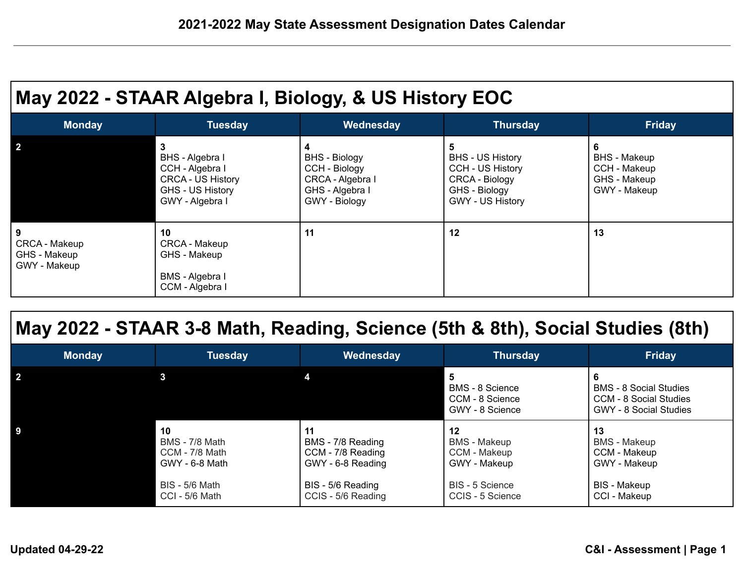| May 2022 - STAAR Algebra I, Biology, & US History EOC |                                                                                                            |                                                                                                    |                                                                                                                              |                                                                          |  |  |  |  |
|-------------------------------------------------------|------------------------------------------------------------------------------------------------------------|----------------------------------------------------------------------------------------------------|------------------------------------------------------------------------------------------------------------------------------|--------------------------------------------------------------------------|--|--|--|--|
| <b>Monday</b>                                         | <b>Tuesday</b>                                                                                             | Wednesday                                                                                          | <b>Thursday</b>                                                                                                              | <b>Friday</b>                                                            |  |  |  |  |
| $\mathbf{2}$                                          | 3<br>BHS - Algebra I<br>CCH - Algebra I<br><b>CRCA - US History</b><br>GHS - US History<br>GWY - Algebra I | 4<br><b>BHS</b> - Biology<br>CCH - Biology<br>CRCA - Algebra I<br>GHS - Algebra I<br>GWY - Biology | 5<br><b>BHS - US History</b><br><b>CCH - US History</b><br><b>CRCA - Biology</b><br>GHS - Biology<br><b>GWY - US History</b> | 6<br><b>BHS</b> - Makeup<br>CCH - Makeup<br>GHS - Makeup<br>GWY - Makeup |  |  |  |  |
| 9<br>CRCA - Makeup<br>GHS - Makeup<br>GWY - Makeup    | 10<br>CRCA - Makeup<br>GHS - Makeup<br>BMS - Algebra I<br>CCM - Algebra I                                  | 11                                                                                                 | 12                                                                                                                           | 13                                                                       |  |  |  |  |

## **May 2022 - STAAR 3-8 Math, Reading, Science (5th & 8th), Social Studies (8th)**

| Monday | Tuesday                                                                                             | Wednesday                                                                                                    | <b>Thursday</b>                                                                                  | <b>Friday</b>                                                                                    |
|--------|-----------------------------------------------------------------------------------------------------|--------------------------------------------------------------------------------------------------------------|--------------------------------------------------------------------------------------------------|--------------------------------------------------------------------------------------------------|
|        |                                                                                                     |                                                                                                              | BMS - 8 Science<br>CCM - 8 Science<br>GWY - 8 Science                                            | <b>BMS - 8 Social Studies</b><br><b>CCM - 8 Social Studies</b><br><b>GWY - 8 Social Studies</b>  |
|        | 10<br>BMS - 7/8 Math<br>CCM - 7/8 Math<br>GWY - 6-8 Math<br><b>BIS - 5/6 Math</b><br>CCI - 5/6 Math | 11<br>BMS - 7/8 Reading<br>CCM - 7/8 Reading<br>GWY - 6-8 Reading<br>BIS - 5/6 Reading<br>CCIS - 5/6 Reading | 12<br><b>BMS</b> - Makeup<br>CCM - Makeup<br>GWY - Makeup<br>BIS - 5 Science<br>CCIS - 5 Science | 13<br><b>BMS</b> - Makeup<br>CCM - Makeup<br>GWY - Makeup<br><b>BIS</b> - Makeup<br>CCI - Makeup |